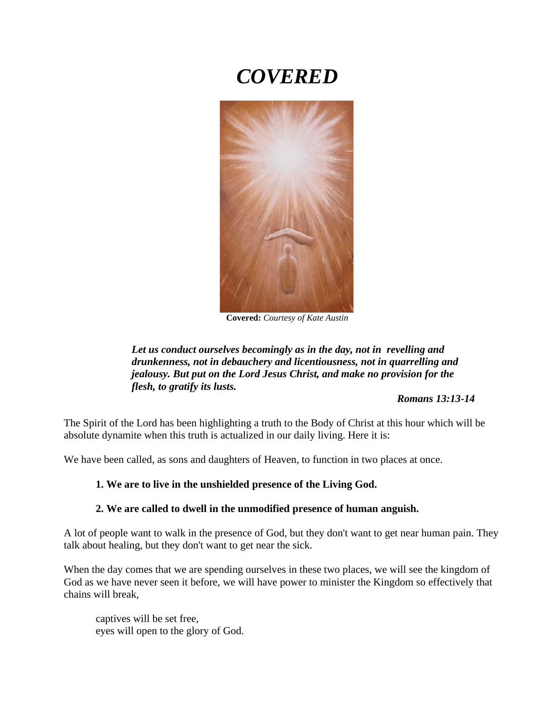# *COVERED*



**Covered:** *Courtesy of Kate Austin*

*Let us conduct ourselves becomingly as in the day, not in revelling and drunkenness, not in debauchery and licentiousness, not in quarrelling and jealousy. But put on the Lord Jesus Christ, and make no provision for the flesh, to gratify its lusts.*

 *Romans 13:13-14*

The Spirit of the Lord has been highlighting a truth to the Body of Christ at this hour which will be absolute dynamite when this truth is actualized in our daily living. Here it is:

We have been called, as sons and daughters of Heaven, to function in two places at once.

#### **1. We are to live in the unshielded presence of the Living God.**

#### **2. We are called to dwell in the unmodified presence of human anguish.**

A lot of people want to walk in the presence of God, but they don't want to get near human pain. They talk about healing, but they don't want to get near the sick.

When the day comes that we are spending ourselves in these two places, we will see the kingdom of God as we have never seen it before, we will have power to minister the Kingdom so effectively that chains will break,

captives will be set free, eyes will open to the glory of God.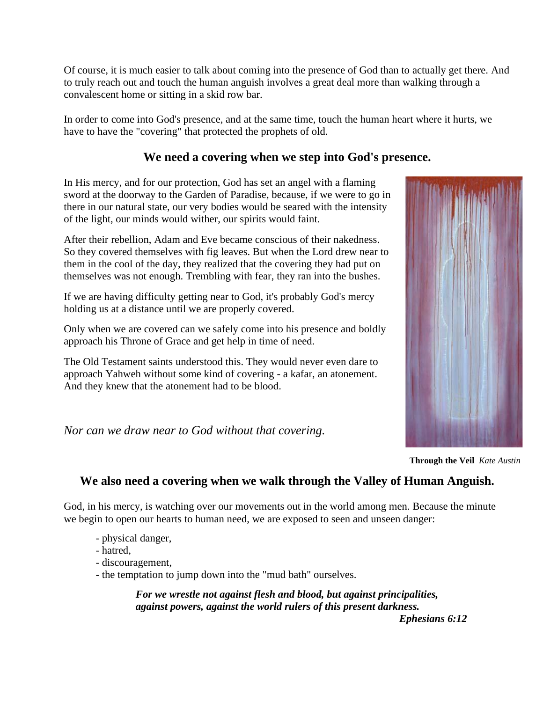Of course, it is much easier to talk about coming into the presence of God than to actually get there. And to truly reach out and touch the human anguish involves a great deal more than walking through a convalescent home or sitting in a skid row bar.

In order to come into God's presence, and at the same time, touch the human heart where it hurts, we have to have the "covering" that protected the prophets of old.

# **We need a covering when we step into God's presence.**

In His mercy, and for our protection, God has set an angel with a flaming sword at the doorway to the Garden of Paradise, because, if we were to go in there in our natural state, our very bodies would be seared with the intensity of the light, our minds would wither, our spirits would faint.

After their rebellion, Adam and Eve became conscious of their nakedness. So they covered themselves with fig leaves. But when the Lord drew near to them in the cool of the day, they realized that the covering they had put on themselves was not enough. Trembling with fear, they ran into the bushes.

If we are having difficulty getting near to God, it's probably God's mercy holding us at a distance until we are properly covered.

Only when we are covered can we safely come into his presence and boldly approach his Throne of Grace and get help in time of need.

The Old Testament saints understood this. They would never even dare to approach Yahweh without some kind of covering - a kafar, an atonement. And they knew that the atonement had to be blood.

*Nor can we draw near to God without that covering.*



**Through the Veil** *Kate Austin*

# **We also need a covering when we walk through the Valley of Human Anguish.**

God, in his mercy, is watching over our movements out in the world among men. Because the minute we begin to open our hearts to human need, we are exposed to seen and unseen danger:

- physical danger,

- hatred,

- discouragement,
- the temptation to jump down into the "mud bath" ourselves.

*For we wrestle not against flesh and blood, but against principalities, against powers, against the world rulers of this present darkness.* 

*Ephesians 6:12*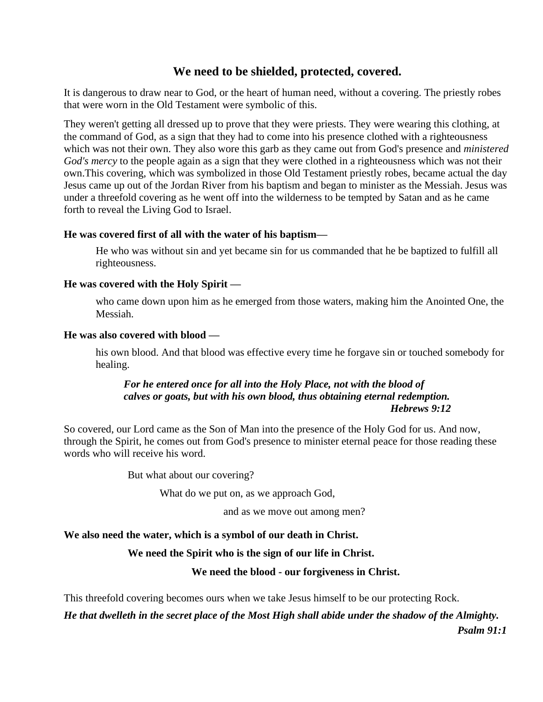## **We need to be shielded, protected, covered.**

It is dangerous to draw near to God, or the heart of human need, without a covering. The priestly robes that were worn in the Old Testament were symbolic of this.

They weren't getting all dressed up to prove that they were priests. They were wearing this clothing, at the command of God, as a sign that they had to come into his presence clothed with a righteousness which was not their own. They also wore this garb as they came out from God's presence and *ministered God's mercy* to the people again as a sign that they were clothed in a righteousness which was not their own.This covering, which was symbolized in those Old Testament priestly robes, became actual the day Jesus came up out of the Jordan River from his baptism and began to minister as the Messiah. Jesus was under a threefold covering as he went off into the wilderness to be tempted by Satan and as he came forth to reveal the Living God to Israel.

#### **He was covered first of all with the water of his baptism—**

He who was without sin and yet became sin for us commanded that he be baptized to fulfill all righteousness.

#### **He was covered with the Holy Spirit —**

who came down upon him as he emerged from those waters, making him the Anointed One, the Messiah.

#### **He was also covered with blood —**

his own blood. And that blood was effective every time he forgave sin or touched somebody for healing.

#### *For he entered once for all into the Holy Place, not with the blood of calves or goats, but with his own blood, thus obtaining eternal redemption. Hebrews 9:12*

So covered, our Lord came as the Son of Man into the presence of the Holy God for us. And now, through the Spirit, he comes out from God's presence to minister eternal peace for those reading these words who will receive his word.

But what about our covering?

What do we put on, as we approach God,

and as we move out among men?

## **We also need the water, which is a symbol of our death in Christ.**

## **We need the Spirit who is the sign of our life in Christ.**

## **We need the blood - our forgiveness in Christ.**

This threefold covering becomes ours when we take Jesus himself to be our protecting Rock.

*He that dwelleth in the secret place of the Most High shall abide under the shadow of the Almighty.*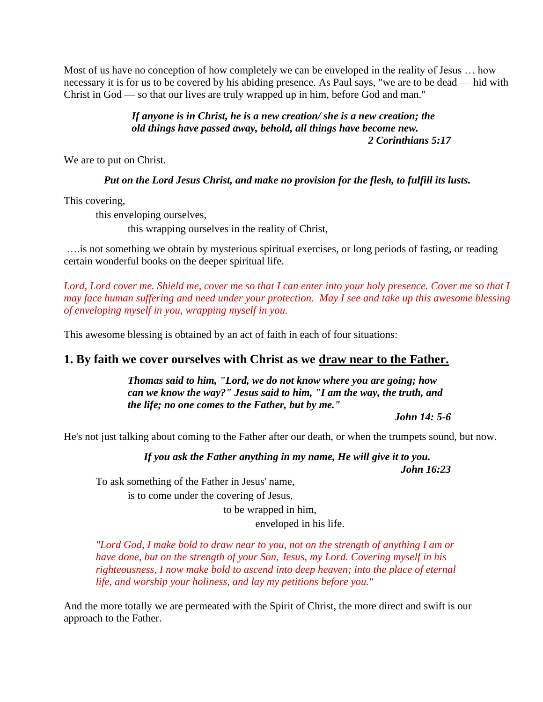Most of us have no conception of how completely we can be enveloped in the reality of Jesus … how necessary it is for us to be covered by his abiding presence. As Paul says, "we are to be dead — hid with Christ in God — so that our lives are truly wrapped up in him, before God and man."

#### *If anyone is in Christ, he is a new creation/ she is a new creation; the old things have passed away, behold, all things have become new. 2 Corinthians 5:17*

We are to put on Christ.

*Put on the Lord Jesus Christ, and make no provision for the flesh, to fulfill its lusts.*

This covering,

this enveloping ourselves,

this wrapping ourselves in the reality of Christ,

….is not something we obtain by mysterious spiritual exercises, or long periods of fasting, or reading certain wonderful books on the deeper spiritual life.

*Lord, Lord cover me. Shield me, cover me so that I can enter into your holy presence. Cover me so that I may face human suffering and need under your protection. May I see and take up this awesome blessing of enveloping myself in you, wrapping myself in you.*

This awesome blessing is obtained by an act of faith in each of four situations:

## **1. By faith we cover ourselves with Christ as we draw near to the Father.**

*Thomas said to him, "Lord, we do not know where you are going; how can we know the way?" Jesus said to him, "I am the way, the truth, and the life; no one comes to the Father, but by me."*

*John 14: 5-6*

He's not just talking about coming to the Father after our death, or when the trumpets sound, but now.

*If you ask the Father anything in my name, He will give it to you. John 16:23*

To ask something of the Father in Jesus' name, is to come under the covering of Jesus,

> to be wrapped in him, enveloped in his life.

*"Lord God, I make bold to draw near to you, not on the strength of anything I am or have done, but on the strength of your Son, Jesus, my Lord. Covering myself in his righteousness, I now make bold to ascend into deep heaven; into the place of eternal life, and worship your holiness, and lay my petitions before you."* 

And the more totally we are permeated with the Spirit of Christ, the more direct and swift is our approach to the Father.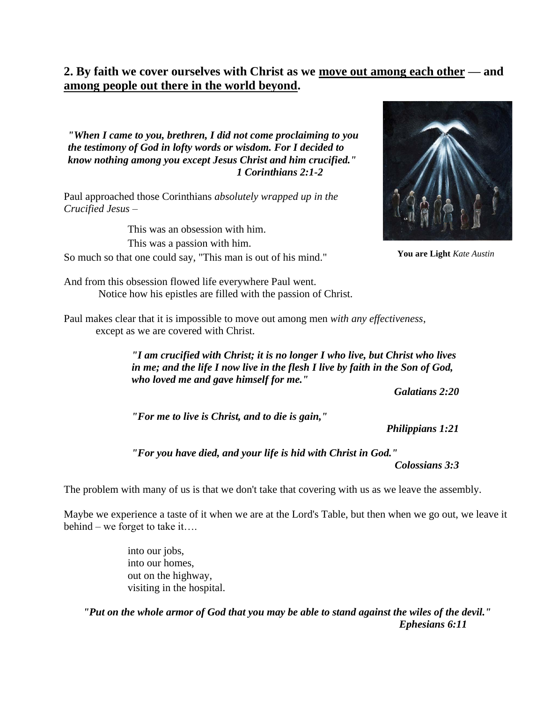# **2. By faith we cover ourselves with Christ as we move out among each other — and among people out there in the world beyond.**

*"When I came to you, brethren, I did not come proclaiming to you the testimony of God in lofty words or wisdom. For I decided to know nothing among you except Jesus Christ and him crucified." 1 Corinthians 2:1-2*

Paul approached those Corinthians *absolutely wrapped up in the Crucified Jesus* –

This was an obsession with him. This was a passion with him. So much so that one could say, "This man is out of his mind."



**You are Light** *Kate Austin*

And from this obsession flowed life everywhere Paul went. Notice how his epistles are filled with the passion of Christ.

Paul makes clear that it is impossible to move out among men *with any effectiveness*, except as we are covered with Christ.

> *"I am crucified with Christ; it is no longer I who live, but Christ who lives in me; and the life I now live in the flesh I live by faith in the Son of God, who loved me and gave himself for me."*

> > *Galatians 2:20*

*"For me to live is Christ, and to die is gain,"* 

*Philippians 1:21*

*"For you have died, and your life is hid with Christ in God."*

*Colossians 3:3*

The problem with many of us is that we don't take that covering with us as we leave the assembly.

Maybe we experience a taste of it when we are at the Lord's Table, but then when we go out, we leave it behind – we forget to take it….

> into our jobs, into our homes, out on the highway, visiting in the hospital.

*"Put on the whole armor of God that you may be able to stand against the wiles of the devil." Ephesians 6:11*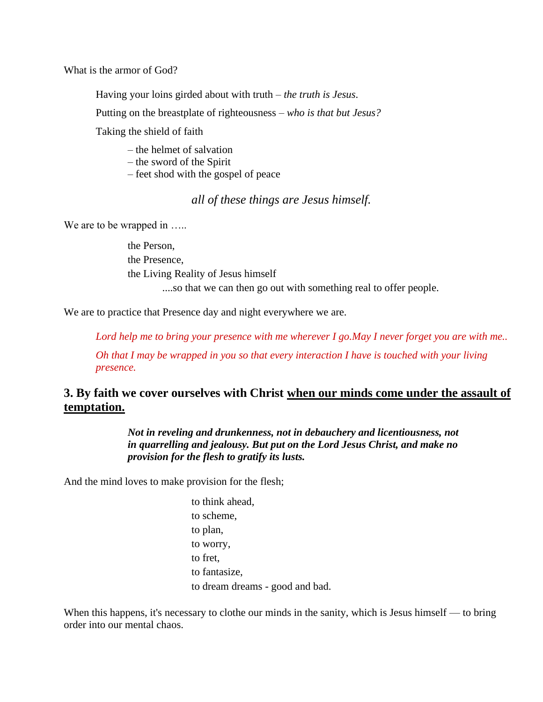What is the armor of God?

Having your loins girded about with truth – *the truth is Jesus*.

Putting on the breastplate of righteousness – *who is that but Jesus?*

Taking the shield of faith

– the helmet of salvation

- the sword of the Spirit
- feet shod with the gospel of peace

## *all of these things are Jesus himself.*

We are to be wrapped in .....

the Person, the Presence, the Living Reality of Jesus himself ....so that we can then go out with something real to offer people.

We are to practice that Presence day and night everywhere we are.

*Lord help me to bring your presence with me wherever I go.May I never forget you are with me.. Oh that I may be wrapped in you so that every interaction I have is touched with your living presence.*

## **3. By faith we cover ourselves with Christ when our minds come under the assault of temptation.**

*Not in reveling and drunkenness, not in debauchery and licentiousness, not in quarrelling and jealousy. But put on the Lord Jesus Christ, and make no provision for the flesh to gratify its lusts.* 

And the mind loves to make provision for the flesh;

to think ahead, to scheme, to plan, to worry, to fret, to fantasize, to dream dreams - good and bad.

When this happens, it's necessary to clothe our minds in the sanity, which is Jesus himself — to bring order into our mental chaos.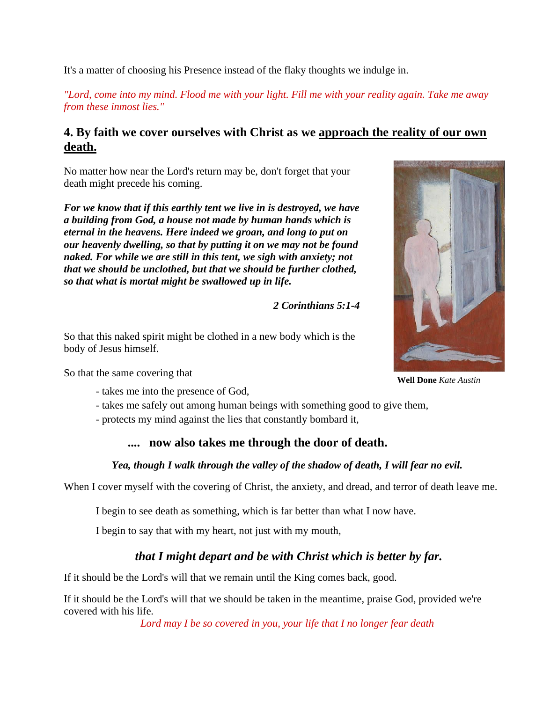It's a matter of choosing his Presence instead of the flaky thoughts we indulge in.

*"Lord, come into my mind. Flood me with your light. Fill me with your reality again. Take me away from these inmost lies."* 

# **4. By faith we cover ourselves with Christ as we approach the reality of our own death.**

No matter how near the Lord's return may be, don't forget that your death might precede his coming.

*For we know that if this earthly tent we live in is destroyed, we have a building from God, a house not made by human hands which is eternal in the heavens. Here indeed we groan, and long to put on our heavenly dwelling, so that by putting it on we may not be found naked. For while we are still in this tent, we sigh with anxiety; not that we should be unclothed, but that we should be further clothed, so that what is mortal might be swallowed up in life.*

*2 Corinthians 5:1-4*

So that this naked spirit might be clothed in a new body which is the body of Jesus himself.

So that the same covering that

- takes me into the presence of God,
- takes me safely out among human beings with something good to give them,
- protects my mind against the lies that constantly bombard it,

# **.... now also takes me through the door of death.**

## *Yea, though I walk through the valley of the shadow of death, I will fear no evil.*

When I cover myself with the covering of Christ, the anxiety, and dread, and terror of death leave me.

I begin to see death as something, which is far better than what I now have.

I begin to say that with my heart, not just with my mouth,

# *that I might depart and be with Christ which is better by far.*

If it should be the Lord's will that we remain until the King comes back, good.

If it should be the Lord's will that we should be taken in the meantime, praise God, provided we're covered with his life.

*Lord may I be so covered in you, your life that I no longer fear death*

**Well Done** *Kate Austin*